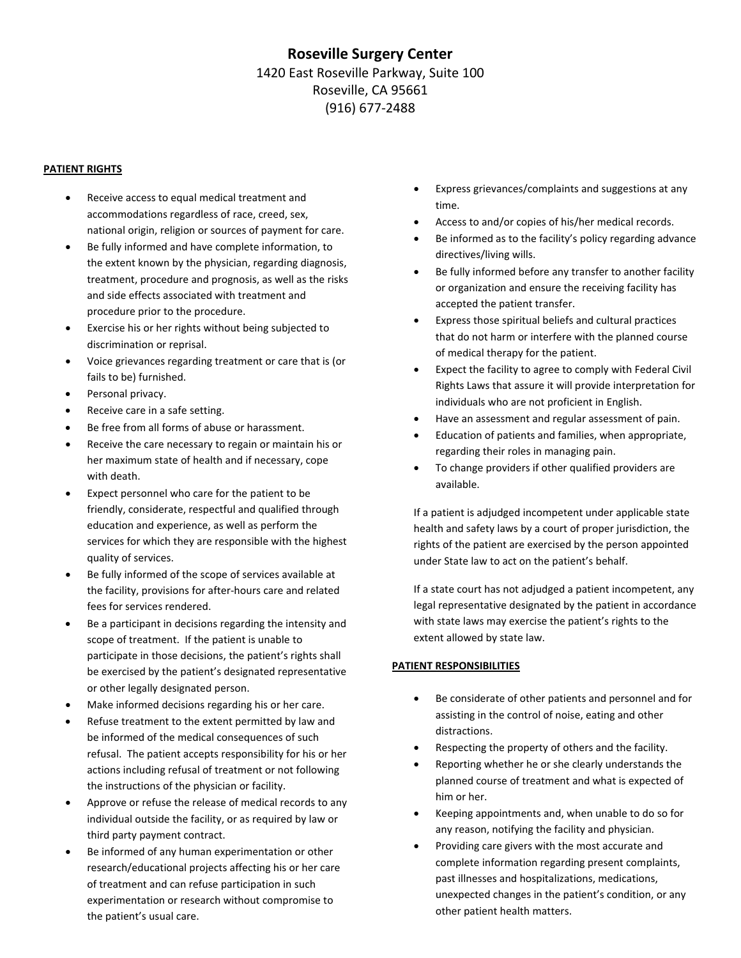# **Roseville Surgery Center** 1420 East Roseville Parkway, Suite 100 Roseville, CA 95661 (916) 677‐2488

#### **PATIENT RIGHTS**

- Receive access to equal medical treatment and accommodations regardless of race, creed, sex, national origin, religion or sources of payment for care.
- Be fully informed and have complete information, to the extent known by the physician, regarding diagnosis, treatment, procedure and prognosis, as well as the risks and side effects associated with treatment and procedure prior to the procedure.
- Exercise his or her rights without being subjected to discrimination or reprisal.
- Voice grievances regarding treatment or care that is (or fails to be) furnished.
- Personal privacy.
- Receive care in a safe setting.
- Be free from all forms of abuse or harassment.
- Receive the care necessary to regain or maintain his or her maximum state of health and if necessary, cope with death.
- Expect personnel who care for the patient to be friendly, considerate, respectful and qualified through education and experience, as well as perform the services for which they are responsible with the highest quality of services.
- Be fully informed of the scope of services available at the facility, provisions for after‐hours care and related fees for services rendered.
- Be a participant in decisions regarding the intensity and scope of treatment. If the patient is unable to participate in those decisions, the patient's rights shall be exercised by the patient's designated representative or other legally designated person.
- Make informed decisions regarding his or her care.
- Refuse treatment to the extent permitted by law and be informed of the medical consequences of such refusal. The patient accepts responsibility for his or her actions including refusal of treatment or not following the instructions of the physician or facility.
- Approve or refuse the release of medical records to any individual outside the facility, or as required by law or third party payment contract.
- Be informed of any human experimentation or other research/educational projects affecting his or her care of treatment and can refuse participation in such experimentation or research without compromise to the patient's usual care.
- Express grievances/complaints and suggestions at any time.
- Access to and/or copies of his/her medical records.
- Be informed as to the facility's policy regarding advance directives/living wills.
- Be fully informed before any transfer to another facility or organization and ensure the receiving facility has accepted the patient transfer.
- Express those spiritual beliefs and cultural practices that do not harm or interfere with the planned course of medical therapy for the patient.
- Expect the facility to agree to comply with Federal Civil Rights Laws that assure it will provide interpretation for individuals who are not proficient in English.
- Have an assessment and regular assessment of pain.
- Education of patients and families, when appropriate, regarding their roles in managing pain.
- To change providers if other qualified providers are available.

If a patient is adjudged incompetent under applicable state health and safety laws by a court of proper jurisdiction, the rights of the patient are exercised by the person appointed under State law to act on the patient's behalf.

If a state court has not adjudged a patient incompetent, any legal representative designated by the patient in accordance with state laws may exercise the patient's rights to the extent allowed by state law.

## **PATIENT RESPONSIBILITIES**

- Be considerate of other patients and personnel and for assisting in the control of noise, eating and other distractions.
- Respecting the property of others and the facility.
- Reporting whether he or she clearly understands the planned course of treatment and what is expected of him or her.
- Keeping appointments and, when unable to do so for any reason, notifying the facility and physician.
- Providing care givers with the most accurate and complete information regarding present complaints, past illnesses and hospitalizations, medications, unexpected changes in the patient's condition, or any other patient health matters.